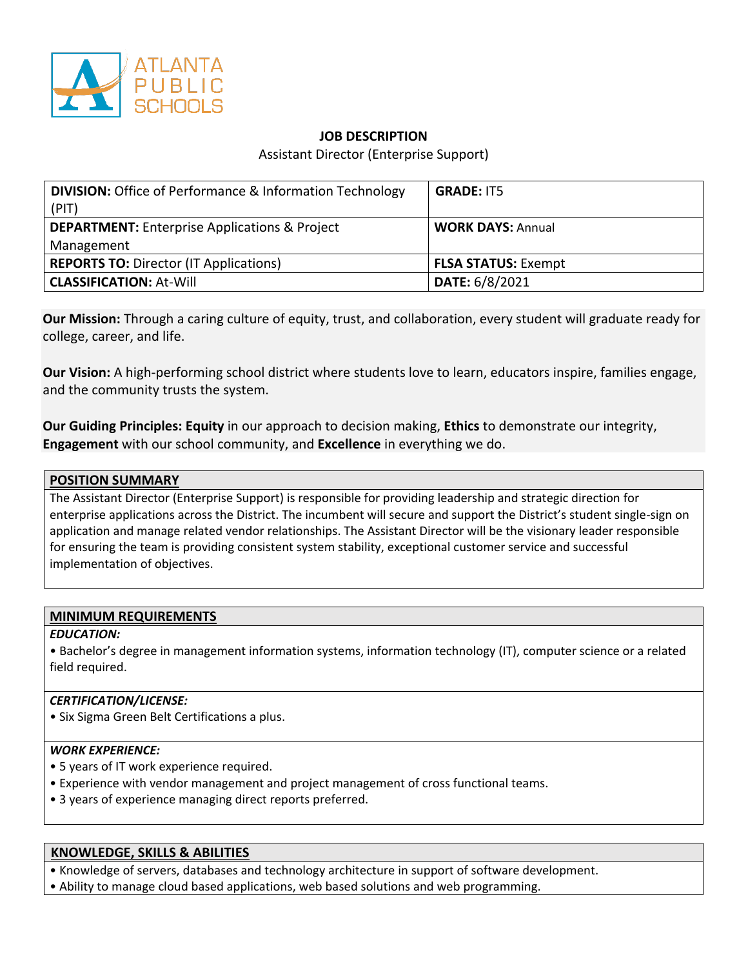

# **JOB DESCRIPTION**

Assistant Director (Enterprise Support)

| <b>DIVISION:</b> Office of Performance & Information Technology<br>(PIT) | <b>GRADE: IT5</b>          |
|--------------------------------------------------------------------------|----------------------------|
| <b>DEPARTMENT:</b> Enterprise Applications & Project<br>Management       | <b>WORK DAYS: Annual</b>   |
| <b>REPORTS TO: Director (IT Applications)</b>                            | <b>FLSA STATUS: Exempt</b> |
| <b>CLASSIFICATION: At-Will</b>                                           | DATE: 6/8/2021             |

**Our Mission:** Through a caring culture of equity, trust, and collaboration, every student will graduate ready for college, career, and life.

**Our Vision:** A high-performing school district where students love to learn, educators inspire, families engage, and the community trusts the system.

**Our Guiding Principles: Equity** in our approach to decision making, **Ethics** to demonstrate our integrity, **Engagement** with our school community, and **Excellence** in everything we do.

### **POSITION SUMMARY**

The Assistant Director (Enterprise Support) is responsible for providing leadership and strategic direction for enterprise applications across the District. The incumbent will secure and support the District's student single-sign on application and manage related vendor relationships. The Assistant Director will be the visionary leader responsible for ensuring the team is providing consistent system stability, exceptional customer service and successful implementation of objectives.

#### **MINIMUM REQUIREMENTS**

### *EDUCATION:*

• Bachelor's degree in management information systems, information technology (IT), computer science or a related field required.

### *CERTIFICATION/LICENSE:*

• Six Sigma Green Belt Certifications a plus.

### *WORK EXPERIENCE:*

- 5 years of IT work experience required.
- Experience with vendor management and project management of cross functional teams.
- 3 years of experience managing direct reports preferred.

### **KNOWLEDGE, SKILLS & ABILITIES**

• Knowledge of servers, databases and technology architecture in support of software development. • Ability to manage cloud based applications, web based solutions and web programming.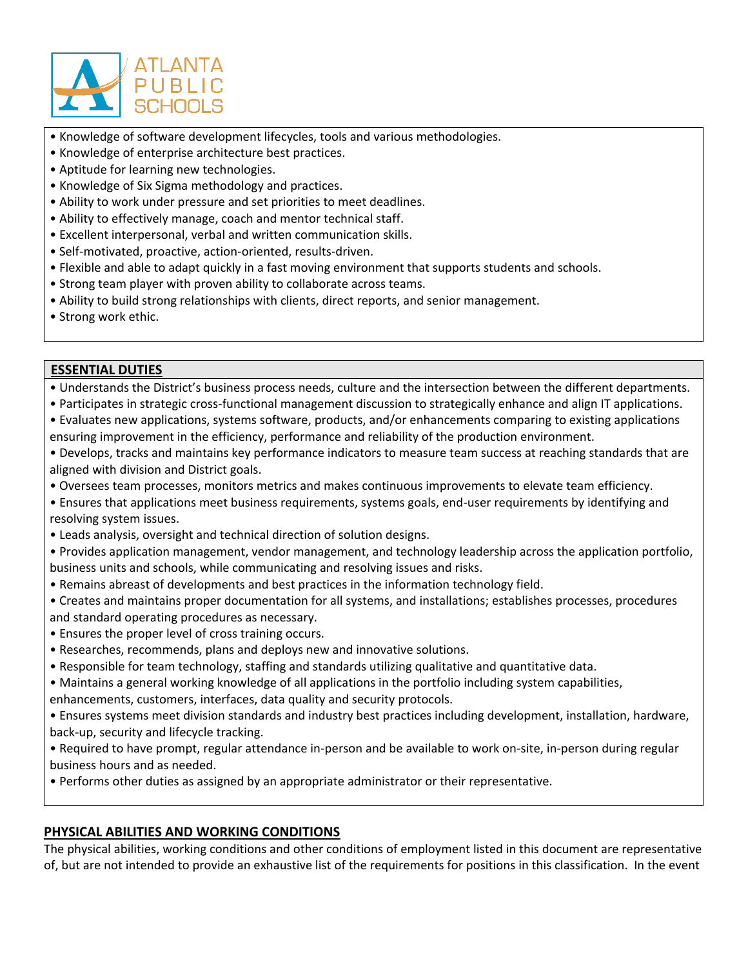

- Knowledge of software development lifecycles, tools and various methodologies.
- Knowledge of enterprise architecture best practices.
- Aptitude for learning new technologies.
- Knowledge of Six Sigma methodology and practices.
- Ability to work under pressure and set priorities to meet deadlines.
- Ability to effectively manage, coach and mentor technical staff.
- Excellent interpersonal, verbal and written communication skills.
- Self-motivated, proactive, action-oriented, results-driven.
- Flexible and able to adapt quickly in a fast moving environment that supports students and schools.
- Strong team player with proven ability to collaborate across teams.
- Ability to build strong relationships with clients, direct reports, and senior management.
- Strong work ethic.

# **ESSENTIAL DUTIES**

• Understands the District's business process needs, culture and the intersection between the different departments.

- Participates in strategic cross-functional management discussion to strategically enhance and align IT applications.
- Evaluates new applications, systems software, products, and/or enhancements comparing to existing applications ensuring improvement in the efficiency, performance and reliability of the production environment.
- Develops, tracks and maintains key performance indicators to measure team success at reaching standards that are aligned with division and District goals.
- Oversees team processes, monitors metrics and makes continuous improvements to elevate team efficiency.
- Ensures that applications meet business requirements, systems goals, end-user requirements by identifying and resolving system issues.
- Leads analysis, oversight and technical direction of solution designs.
- Provides application management, vendor management, and technology leadership across the application portfolio, business units and schools, while communicating and resolving issues and risks.
- Remains abreast of developments and best practices in the information technology field.
- Creates and maintains proper documentation for all systems, and installations; establishes processes, procedures and standard operating procedures as necessary.
- Ensures the proper level of cross training occurs.
- Researches, recommends, plans and deploys new and innovative solutions.
- Responsible for team technology, staffing and standards utilizing qualitative and quantitative data.
- Maintains a general working knowledge of all applications in the portfolio including system capabilities,
- enhancements, customers, interfaces, data quality and security protocols.
- Ensures systems meet division standards and industry best practices including development, installation, hardware, back-up, security and lifecycle tracking.
- Required to have prompt, regular attendance in-person and be available to work on-site, in-person during regular business hours and as needed.
- Performs other duties as assigned by an appropriate administrator or their representative.

# **PHYSICAL ABILITIES AND WORKING CONDITIONS**

The physical abilities, working conditions and other conditions of employment listed in this document are representative of, but are not intended to provide an exhaustive list of the requirements for positions in this classification. In the event